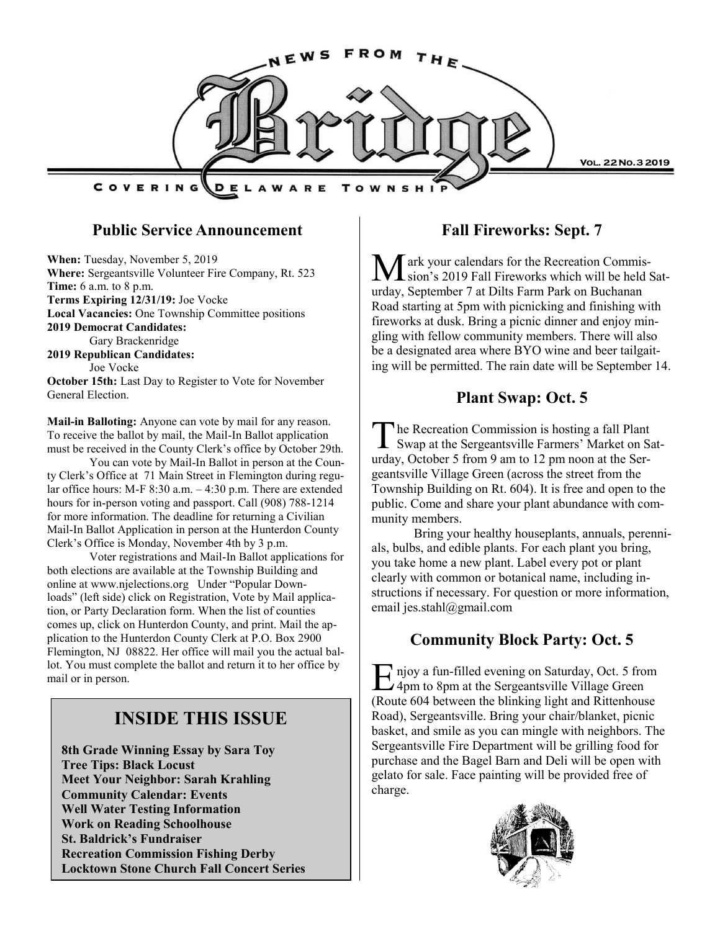

#### **Public Service Announcement**

**When:** Tuesday, November 5, 2019 **Where:** Sergeantsville Volunteer Fire Company, Rt. 523 **Time:** 6 a.m. to 8 p.m. **Terms Expiring 12/31/19:** Joe Vocke **Local Vacancies:** One Township Committee positions **2019 Democrat Candidates:**  Gary Brackenridge **2019 Republican Candidates:**  Joe Vocke **October 15th:** Last Day to Register to Vote for November General Election.

**Mail-in Balloting:** Anyone can vote by mail for any reason. To receive the ballot by mail, the Mail-In Ballot application must be received in the County Clerk's office by October 29th.

You can vote by Mail-In Ballot in person at the County Clerk's Office at 71 Main Street in Flemington during regular office hours: M-F 8:30 a.m. – 4:30 p.m. There are extended hours for in-person voting and passport. Call (908) 788-1214 for more information. The deadline for returning a Civilian Mail-In Ballot Application in person at the Hunterdon County Clerk's Office is Monday, November 4th by 3 p.m.

Voter registrations and Mail-In Ballot applications for both elections are available at the Township Building and online at www.njelections.org Under "Popular Downloads" (left side) click on Registration, Vote by Mail application, or Party Declaration form. When the list of counties comes up, click on Hunterdon County, and print. Mail the application to the Hunterdon County Clerk at P.O. Box 2900 Flemington, NJ 08822. Her office will mail you the actual ballot. You must complete the ballot and return it to her office by mail or in person.

# **INSIDE THIS ISSUE**

**8th Grade Winning Essay by Sara Toy Tree Tips: Black Locust Meet Your Neighbor: Sarah Krahling Community Calendar: Events Well Water Testing Information Work on Reading Schoolhouse St. Baldrick's Fundraiser Recreation Commission Fishing Derby Locktown Stone Church Fall Concert Series**

## **Fall Fireworks: Sept. 7**

 $\mathbf{M}$  ark your calendars for the Recreation Commis-<br>sion's 2019 Fall Fireworks which will be held Saturday, September 7 at Dilts Farm Park on Buchanan Road starting at 5pm with picnicking and finishing with fireworks at dusk. Bring a picnic dinner and enjoy mingling with fellow community members. There will also be a designated area where BYO wine and beer tailgaiting will be permitted. The rain date will be September 14.

## **Plant Swap: Oct. 5**

T he Recreation Commission is hosting a fall Plant Swap at the Sergeantsville Farmers' Market on Saturday, October 5 from 9 am to 12 pm noon at the Sergeantsville Village Green (across the street from the Township Building on Rt. 604). It is free and open to the public. Come and share your plant abundance with community members.

Bring your healthy houseplants, annuals, perennials, bulbs, and edible plants. For each plant you bring, you take home a new plant. Label every pot or plant clearly with common or botanical name, including instructions if necessary. For question or more information, email jes.stahl@gmail.com

## **Community Block Party: Oct. 5**

E njoy a fun-filled evening on Saturday, Oct. 5 fro<br>4pm to 8pm at the Sergeantsville Village Green njoy a fun-filled evening on Saturday, Oct. 5 from (Route 604 between the blinking light and Rittenhouse Road), Sergeantsville. Bring your chair/blanket, picnic basket, and smile as you can mingle with neighbors. The Sergeantsville Fire Department will be grilling food for purchase and the Bagel Barn and Deli will be open with gelato for sale. Face painting will be provided free of charge.

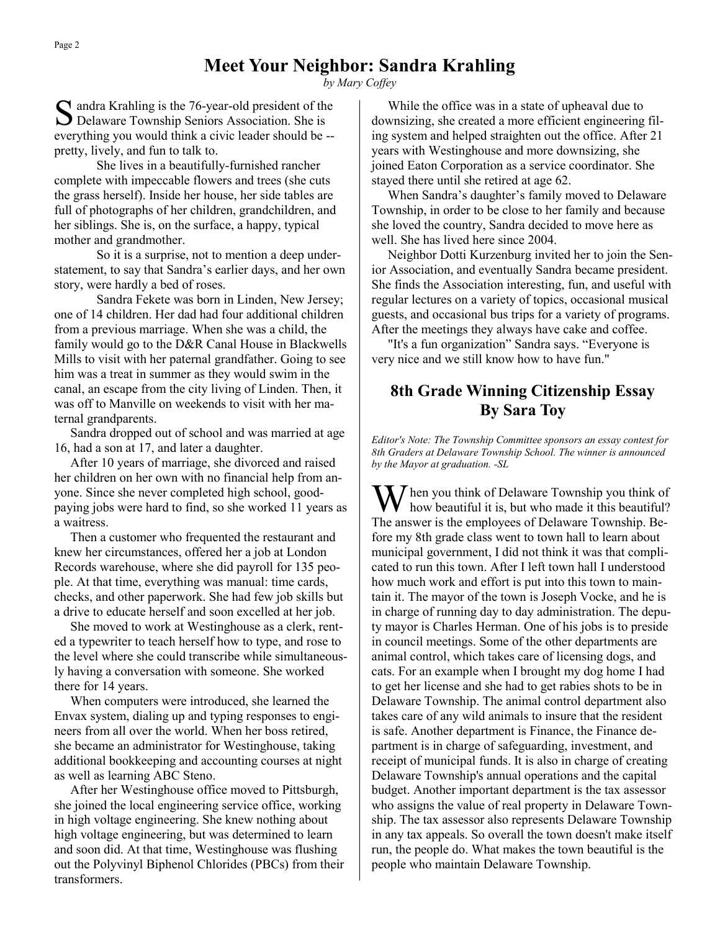*by Mary Coffey*

S andra Krahling is the 76-year-old president of the Delaware Township Seniors Association. She is Delaware Township Seniors Association. She is everything you would think a civic leader should be - pretty, lively, and fun to talk to.

She lives in a beautifully-furnished rancher complete with impeccable flowers and trees (she cuts the grass herself). Inside her house, her side tables are full of photographs of her children, grandchildren, and her siblings. She is, on the surface, a happy, typical mother and grandmother.

So it is a surprise, not to mention a deep understatement, to say that Sandra's earlier days, and her own story, were hardly a bed of roses.

Sandra Fekete was born in Linden, New Jersey; one of 14 children. Her dad had four additional children from a previous marriage. When she was a child, the family would go to the D&R Canal House in Blackwells Mills to visit with her paternal grandfather. Going to see him was a treat in summer as they would swim in the canal, an escape from the city living of Linden. Then, it was off to Manville on weekends to visit with her maternal grandparents.

 Sandra dropped out of school and was married at age 16, had a son at 17, and later a daughter.

 After 10 years of marriage, she divorced and raised her children on her own with no financial help from anyone. Since she never completed high school, goodpaying jobs were hard to find, so she worked 11 years as a waitress.

 Then a customer who frequented the restaurant and knew her circumstances, offered her a job at London Records warehouse, where she did payroll for 135 people. At that time, everything was manual: time cards, checks, and other paperwork. She had few job skills but a drive to educate herself and soon excelled at her job.

 She moved to work at Westinghouse as a clerk, rented a typewriter to teach herself how to type, and rose to the level where she could transcribe while simultaneously having a conversation with someone. She worked there for 14 years.

 When computers were introduced, she learned the Envax system, dialing up and typing responses to engineers from all over the world. When her boss retired, she became an administrator for Westinghouse, taking additional bookkeeping and accounting courses at night as well as learning ABC Steno.

 After her Westinghouse office moved to Pittsburgh, she joined the local engineering service office, working in high voltage engineering. She knew nothing about high voltage engineering, but was determined to learn and soon did. At that time, Westinghouse was flushing out the Polyvinyl Biphenol Chlorides (PBCs) from their transformers.

 While the office was in a state of upheaval due to downsizing, she created a more efficient engineering filing system and helped straighten out the office. After 21 years with Westinghouse and more downsizing, she joined Eaton Corporation as a service coordinator. She stayed there until she retired at age 62.

 When Sandra's daughter's family moved to Delaware Township, in order to be close to her family and because she loved the country, Sandra decided to move here as well. She has lived here since 2004.

 Neighbor Dotti Kurzenburg invited her to join the Senior Association, and eventually Sandra became president. She finds the Association interesting, fun, and useful with regular lectures on a variety of topics, occasional musical guests, and occasional bus trips for a variety of programs. After the meetings they always have cake and coffee.

 "It's a fun organization" Sandra says. "Everyone is very nice and we still know how to have fun."

## **8th Grade Winning Citizenship Essay By Sara Toy**

*Editor's Note: The Township Committee sponsors an essay contest for 8th Graders at Delaware Township School. The winner is announced by the Mayor at graduation. -SL*

 $\sum$  hen you think of Delaware Township you think of how beautiful it is, but who made it this beautiful? The answer is the employees of Delaware Township. Before my 8th grade class went to town hall to learn about municipal government, I did not think it was that complicated to run this town. After I left town hall I understood how much work and effort is put into this town to maintain it. The mayor of the town is Joseph Vocke, and he is in charge of running day to day administration. The deputy mayor is Charles Herman. One of his jobs is to preside in council meetings. Some of the other departments are animal control, which takes care of licensing dogs, and cats. For an example when I brought my dog home I had to get her license and she had to get rabies shots to be in Delaware Township. The animal control department also takes care of any wild animals to insure that the resident is safe. Another department is Finance, the Finance department is in charge of safeguarding, investment, and receipt of municipal funds. It is also in charge of creating Delaware Township's annual operations and the capital budget. Another important department is the tax assessor who assigns the value of real property in Delaware Township. The tax assessor also represents Delaware Township in any tax appeals. So overall the town doesn't make itself run, the people do. What makes the town beautiful is the people who maintain Delaware Township.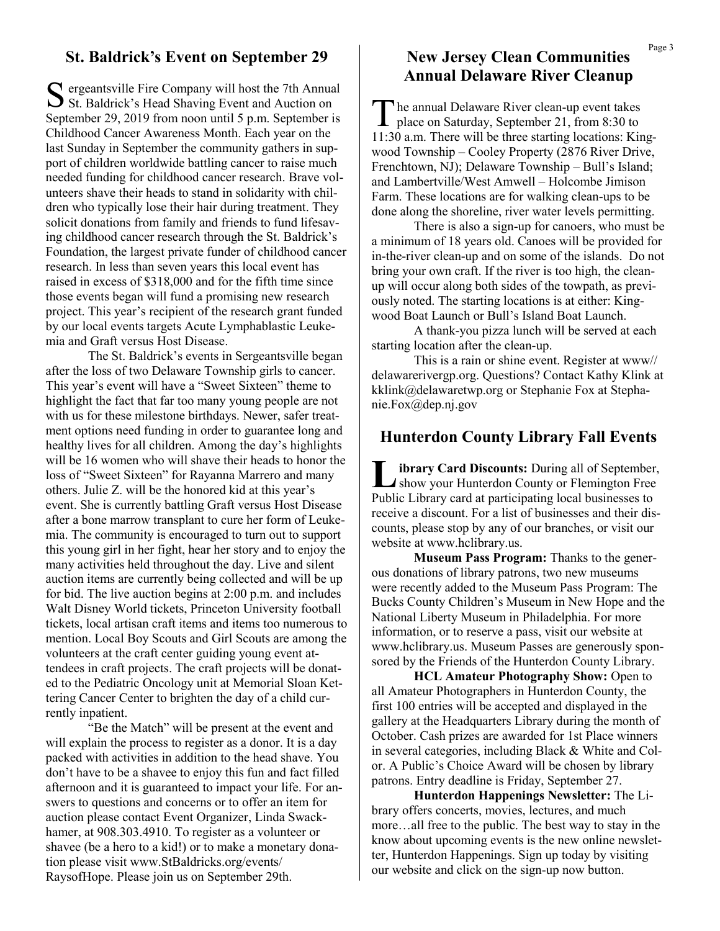#### **St. Baldrick's Event on September 29**

S ergeantsville Fire Company will host the 7th Annua<br>St. Baldrick's Head Shaving Event and Auction on  $\Gamma$  ergeantsville Fire Company will host the 7th Annual September 29, 2019 from noon until 5 p.m. September is Childhood Cancer Awareness Month. Each year on the last Sunday in September the community gathers in support of children worldwide battling cancer to raise much needed funding for childhood cancer research. Brave volunteers shave their heads to stand in solidarity with children who typically lose their hair during treatment. They solicit donations from family and friends to fund lifesaving childhood cancer research through the St. Baldrick's Foundation, the largest private funder of childhood cancer research. In less than seven years this local event has raised in excess of \$318,000 and for the fifth time since those events began will fund a promising new research project. This year's recipient of the research grant funded by our local events targets Acute Lymphablastic Leukemia and Graft versus Host Disease.

The St. Baldrick's events in Sergeantsville began after the loss of two Delaware Township girls to cancer. This year's event will have a "Sweet Sixteen" theme to highlight the fact that far too many young people are not with us for these milestone birthdays. Newer, safer treatment options need funding in order to guarantee long and healthy lives for all children. Among the day's highlights will be 16 women who will shave their heads to honor the loss of "Sweet Sixteen" for Rayanna Marrero and many others. Julie Z. will be the honored kid at this year's event. She is currently battling Graft versus Host Disease after a bone marrow transplant to cure her form of Leukemia. The community is encouraged to turn out to support this young girl in her fight, hear her story and to enjoy the many activities held throughout the day. Live and silent auction items are currently being collected and will be up for bid. The live auction begins at 2:00 p.m. and includes Walt Disney World tickets, Princeton University football tickets, local artisan craft items and items too numerous to mention. Local Boy Scouts and Girl Scouts are among the volunteers at the craft center guiding young event attendees in craft projects. The craft projects will be donated to the Pediatric Oncology unit at Memorial Sloan Kettering Cancer Center to brighten the day of a child currently inpatient.

"Be the Match" will be present at the event and will explain the process to register as a donor. It is a day packed with activities in addition to the head shave. You don't have to be a shavee to enjoy this fun and fact filled afternoon and it is guaranteed to impact your life. For answers to questions and concerns or to offer an item for auction please contact Event Organizer, Linda Swackhamer, at 908.303.4910. To register as a volunteer or shavee (be a hero to a kid!) or to make a monetary donation please visit www.StBaldricks.org/events/ RaysofHope. Please join us on September 29th.

#### **New Jersey Clean Communities Annual Delaware River Cleanup**

T he annual Delaware River clean-up event takes place on Saturday, September 21, from 8:30 to 11:30 a.m. There will be three starting locations: Kingwood Township – Cooley Property (2876 River Drive, Frenchtown, NJ); Delaware Township – Bull's Island; and Lambertville/West Amwell – Holcombe Jimison Farm. These locations are for walking clean-ups to be done along the shoreline, river water levels permitting.

There is also a sign-up for canoers, who must be a minimum of 18 years old. Canoes will be provided for in-the-river clean-up and on some of the islands. Do not bring your own craft. If the river is too high, the cleanup will occur along both sides of the towpath, as previously noted. The starting locations is at either: Kingwood Boat Launch or Bull's Island Boat Launch.

A thank-you pizza lunch will be served at each starting location after the clean-up.

This is a rain or shine event. Register at www// delawarerivergp.org. Questions? Contact Kathy Klink at kklink@delawaretwp.org or Stephanie Fox at Stephanie.Fox@dep.nj.gov

#### **Hunterdon County Library Fall Events**

**L ibrary Card Discounts:** During all of September, show your Hunterdon County or Flemington Free Public Library card at participating local businesses to receive a discount. For a list of businesses and their discounts, please stop by any of our branches, or visit our website at www.hclibrary.us.

**Museum Pass Program:** Thanks to the generous donations of library patrons, two new museums were recently added to the Museum Pass Program: The Bucks County Children's Museum in New Hope and the National Liberty Museum in Philadelphia. For more information, or to reserve a pass, visit our website at www.hclibrary.us. Museum Passes are generously sponsored by the Friends of the Hunterdon County Library.

**HCL Amateur Photography Show:** Open to all Amateur Photographers in Hunterdon County, the first 100 entries will be accepted and displayed in the gallery at the Headquarters Library during the month of October. Cash prizes are awarded for 1st Place winners in several categories, including Black & White and Color. A Public's Choice Award will be chosen by library patrons. Entry deadline is Friday, September 27.

**Hunterdon Happenings Newsletter:** The Library offers concerts, movies, lectures, and much more…all free to the public. The best way to stay in the know about upcoming events is the new online newsletter, Hunterdon Happenings. Sign up today by visiting our website and click on the sign-up now button.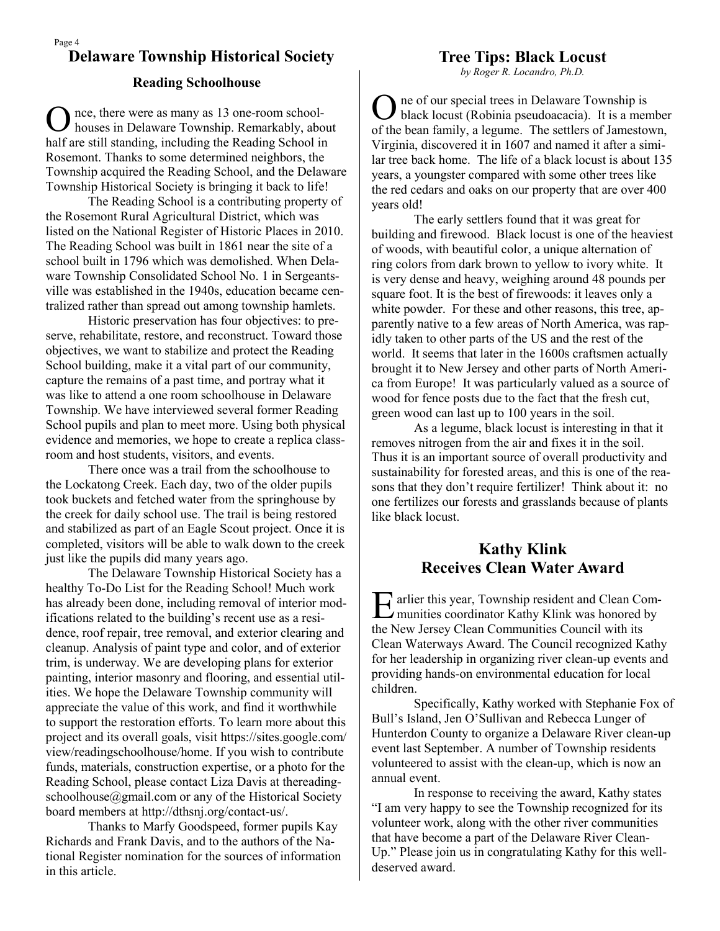*by Roger R. Locandro, Ph.D.*

# **Delaware Township Historical Society Tree Tips: Black Locust**

#### **Reading Schoolhouse**

O nce, there were as many as 13 one-room schoolhouses in Delaware Township. Remarkably, about half are still standing, including the Reading School in Rosemont. Thanks to some determined neighbors, the Township acquired the Reading School, and the Delaware Township Historical Society is bringing it back to life!

The Reading School is a contributing property of the Rosemont Rural Agricultural District, which was listed on the National Register of Historic Places in 2010. The Reading School was built in 1861 near the site of a school built in 1796 which was demolished. When Delaware Township Consolidated School No. 1 in Sergeantsville was established in the 1940s, education became centralized rather than spread out among township hamlets.

Historic preservation has four objectives: to preserve, rehabilitate, restore, and reconstruct. Toward those objectives, we want to stabilize and protect the Reading School building, make it a vital part of our community, capture the remains of a past time, and portray what it was like to attend a one room schoolhouse in Delaware Township. We have interviewed several former Reading School pupils and plan to meet more. Using both physical evidence and memories, we hope to create a replica classroom and host students, visitors, and events.

There once was a trail from the schoolhouse to the Lockatong Creek. Each day, two of the older pupils took buckets and fetched water from the springhouse by the creek for daily school use. The trail is being restored and stabilized as part of an Eagle Scout project. Once it is completed, visitors will be able to walk down to the creek just like the pupils did many years ago.

The Delaware Township Historical Society has a healthy To-Do List for the Reading School! Much work has already been done, including removal of interior modifications related to the building's recent use as a residence, roof repair, tree removal, and exterior clearing and cleanup. Analysis of paint type and color, and of exterior trim, is underway. We are developing plans for exterior painting, interior masonry and flooring, and essential utilities. We hope the Delaware Township community will appreciate the value of this work, and find it worthwhile to support the restoration efforts. To learn more about this project and its overall goals, visit https://sites.google.com/ view/readingschoolhouse/home. If you wish to contribute funds, materials, construction expertise, or a photo for the Reading School, please contact Liza Davis at thereadingschoolhouse@gmail.com or any of the Historical Society board members at http://dthsnj.org/contact-us/.

Thanks to Marfy Goodspeed, former pupils Kay Richards and Frank Davis, and to the authors of the National Register nomination for the sources of information in this article.

O ne of our special trees in Delaware Township is black locust (Robinia pseudoacacia). It is a member of the bean family, a legume. The settlers of Jamestown, Virginia, discovered it in 1607 and named it after a similar tree back home. The life of a black locust is about 135 years, a youngster compared with some other trees like the red cedars and oaks on our property that are over 400 years old!

The early settlers found that it was great for building and firewood. Black locust is one of the heaviest of woods, with beautiful color, a unique alternation of ring colors from dark brown to yellow to ivory white. It is very dense and heavy, weighing around 48 pounds per square foot. It is the best of firewoods: it leaves only a white powder. For these and other reasons, this tree, apparently native to a few areas of North America, was rapidly taken to other parts of the US and the rest of the world. It seems that later in the 1600s craftsmen actually brought it to New Jersey and other parts of North America from Europe! It was particularly valued as a source of wood for fence posts due to the fact that the fresh cut, green wood can last up to 100 years in the soil.

As a legume, black locust is interesting in that it removes nitrogen from the air and fixes it in the soil. Thus it is an important source of overall productivity and sustainability for forested areas, and this is one of the reasons that they don't require fertilizer! Think about it: no one fertilizes our forests and grasslands because of plants like black locust.

#### **Kathy Klink Receives Clean Water Award**

E arlier this year, Township resident and Clean Com-<br>munities coordinator Kathy Klink was honored by arlier this year, Township resident and Clean Comthe New Jersey Clean Communities Council with its Clean Waterways Award. The Council recognized Kathy for her leadership in organizing river clean-up events and providing hands-on environmental education for local children.

Specifically, Kathy worked with Stephanie Fox of Bull's Island, Jen O'Sullivan and Rebecca Lunger of Hunterdon County to organize a Delaware River clean-up event last September. A number of Township residents volunteered to assist with the clean-up, which is now an annual event.

In response to receiving the award, Kathy states "I am very happy to see the Township recognized for its volunteer work, along with the other river communities that have become a part of the Delaware River Clean-Up." Please join us in congratulating Kathy for this welldeserved award.

Page 4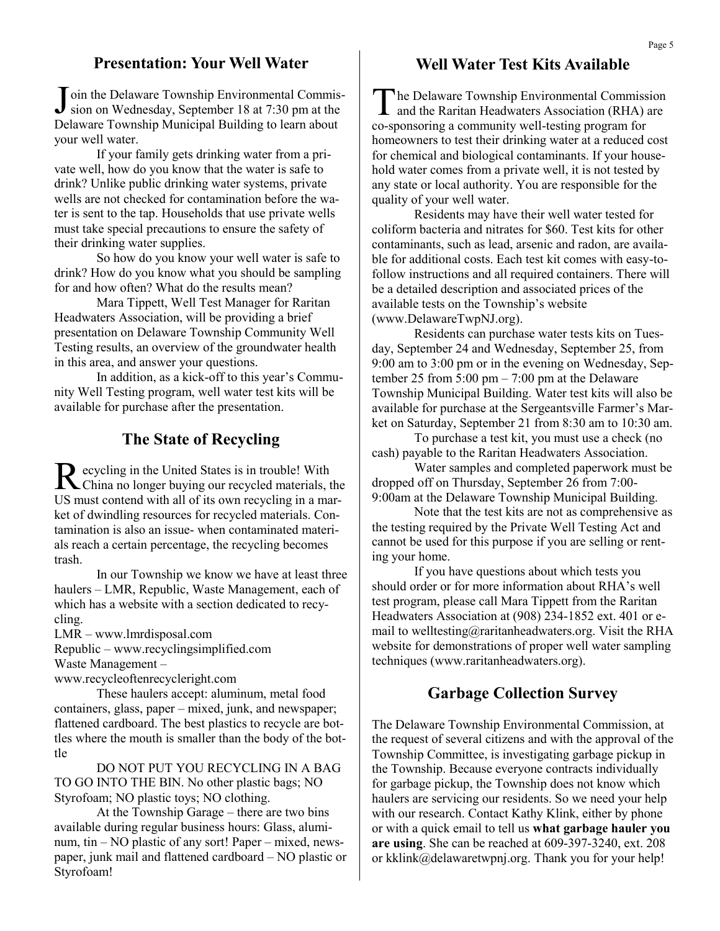#### **Presentation: Your Well Water**

Join the Delaware Township Environmental Commission on Wednesday, September 18 at 7:30 pm at the sion on Wednesday, September 18 at 7:30 pm at the Delaware Township Municipal Building to learn about your well water.

If your family gets drinking water from a private well, how do you know that the water is safe to drink? Unlike public drinking water systems, private wells are not checked for contamination before the water is sent to the tap. Households that use private wells must take special precautions to ensure the safety of their drinking water supplies.

So how do you know your well water is safe to drink? How do you know what you should be sampling for and how often? What do the results mean?

Mara Tippett, Well Test Manager for Raritan Headwaters Association, will be providing a brief presentation on Delaware Township Community Well Testing results, an overview of the groundwater health in this area, and answer your questions.

In addition, as a kick-off to this year's Community Well Testing program, well water test kits will be available for purchase after the presentation.

#### **The State of Recycling**

Recycling in the United States is in trouble! With<br>China no longer buying our recycled materials, the ecycling in the United States is in trouble! With US must contend with all of its own recycling in a market of dwindling resources for recycled materials. Contamination is also an issue- when contaminated materials reach a certain percentage, the recycling becomes trash.

In our Township we know we have at least three haulers – LMR, Republic, Waste Management, each of which has a website with a section dedicated to recycling.

LMR – www.lmrdisposal.com

Republic – www.recyclingsimplified.com Waste Management –

www.recycleoftenrecycleright.com

These haulers accept: aluminum, metal food containers, glass, paper – mixed, junk, and newspaper; flattened cardboard. The best plastics to recycle are bottles where the mouth is smaller than the body of the bottle

DO NOT PUT YOU RECYCLING IN A BAG TO GO INTO THE BIN. No other plastic bags; NO Styrofoam; NO plastic toys; NO clothing.

At the Township Garage – there are two bins available during regular business hours: Glass, aluminum, tin – NO plastic of any sort! Paper – mixed, newspaper, junk mail and flattened cardboard – NO plastic or Styrofoam!

#### **Well Water Test Kits Available**

T he Delaware Township Environmental Commission and the Raritan Headwaters Association (RHA) are co-sponsoring a community well-testing program for homeowners to test their drinking water at a reduced cost for chemical and biological contaminants. If your household water comes from a private well, it is not tested by any state or local authority. You are responsible for the quality of your well water.

Residents may have their well water tested for coliform bacteria and nitrates for \$60. Test kits for other contaminants, such as lead, arsenic and radon, are available for additional costs. Each test kit comes with easy-tofollow instructions and all required containers. There will be a detailed description and associated prices of the available tests on the Township's website (www.DelawareTwpNJ.org).

Residents can purchase water tests kits on Tuesday, September 24 and Wednesday, September 25, from 9:00 am to 3:00 pm or in the evening on Wednesday, September 25 from 5:00 pm – 7:00 pm at the Delaware Township Municipal Building. Water test kits will also be available for purchase at the Sergeantsville Farmer's Market on Saturday, September 21 from 8:30 am to 10:30 am.

To purchase a test kit, you must use a check (no cash) payable to the Raritan Headwaters Association.

Water samples and completed paperwork must be dropped off on Thursday, September 26 from 7:00- 9:00am at the Delaware Township Municipal Building.

Note that the test kits are not as comprehensive as the testing required by the Private Well Testing Act and cannot be used for this purpose if you are selling or renting your home.

If you have questions about which tests you should order or for more information about RHA's well test program, please call Mara Tippett from the Raritan Headwaters Association at (908) 234-1852 ext. 401 or email to welltesting@raritanheadwaters.org. Visit the RHA website for demonstrations of proper well water sampling techniques (www.raritanheadwaters.org).

#### **Garbage Collection Survey**

The Delaware Township Environmental Commission, at the request of several citizens and with the approval of the Township Committee, is investigating garbage pickup in the Township. Because everyone contracts individually for garbage pickup, the Township does not know which haulers are servicing our residents. So we need your help with our research. Contact Kathy Klink, either by phone or with a quick email to tell us **what garbage hauler you are using**. She can be reached at 609-397-3240, ext. 208 or kklink@delawaretwpnj.org. Thank you for your help!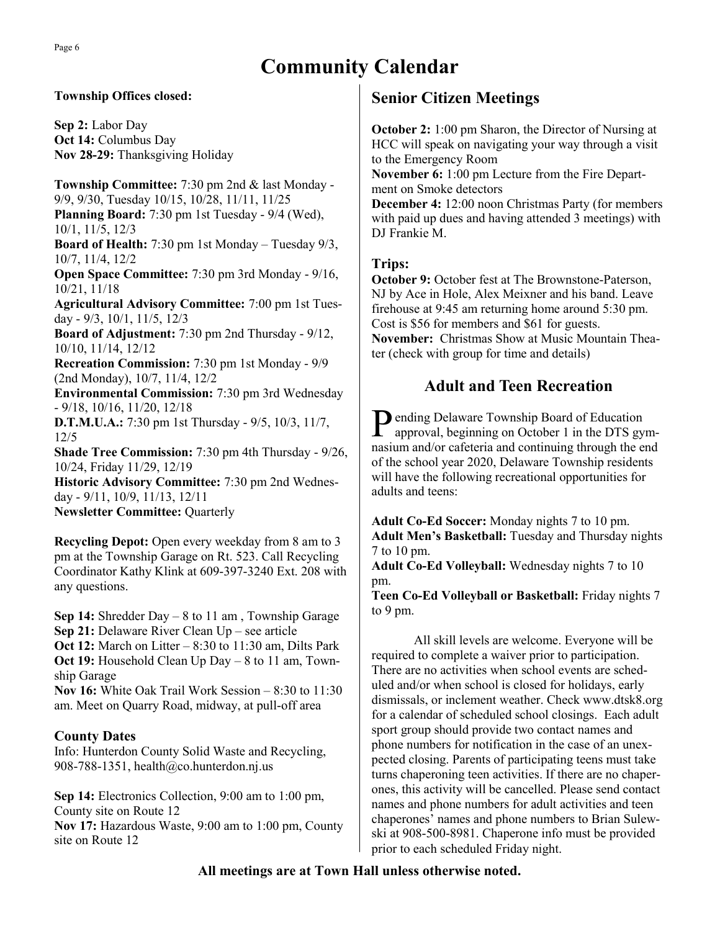# **Community Calendar**

#### **Township Offices closed:**

**Sep 2:** Labor Day **Oct 14: Columbus Day Nov 28-29:** Thanksgiving Holiday

**Township Committee:** 7:30 pm 2nd & last Monday - 9/9, 9/30, Tuesday 10/15, 10/28, 11/11, 11/25 **Planning Board:** 7:30 pm 1st Tuesday - 9/4 (Wed), 10/1, 11/5, 12/3 **Board of Health:** 7:30 pm 1st Monday – Tuesday 9/3, 10/7, 11/4, 12/2 **Open Space Committee:** 7:30 pm 3rd Monday - 9/16, 10/21, 11/18 **Agricultural Advisory Committee:** 7:00 pm 1st Tuesday - 9/3, 10/1, 11/5, 12/3 **Board of Adjustment:** 7:30 pm 2nd Thursday - 9/12, 10/10, 11/14, 12/12 **Recreation Commission:** 7:30 pm 1st Monday - 9/9 (2nd Monday), 10/7, 11/4, 12/2 **Environmental Commission:** 7:30 pm 3rd Wednesday - 9/18, 10/16, 11/20, 12/18 **D.T.M.U.A.:** 7:30 pm 1st Thursday - 9/5, 10/3, 11/7, 12/5 **Shade Tree Commission:** 7:30 pm 4th Thursday - 9/26, 10/24, Friday 11/29, 12/19 **Historic Advisory Committee:** 7:30 pm 2nd Wednesday - 9/11, 10/9, 11/13, 12/11

**Newsletter Committee:** Quarterly

**Recycling Depot:** Open every weekday from 8 am to 3 pm at the Township Garage on Rt. 523. Call Recycling Coordinator Kathy Klink at 609-397-3240 Ext. 208 with any questions.

**Sep 14:** Shredder Day – 8 to 11 am , Township Garage **Sep 21:** Delaware River Clean Up – see article **Oct 12:** March on Litter – 8:30 to 11:30 am, Dilts Park

**Oct 19:** Household Clean Up Day – 8 to 11 am, Township Garage

**Nov 16:** White Oak Trail Work Session – 8:30 to 11:30 am. Meet on Quarry Road, midway, at pull-off area

#### **County Dates**

Info: Hunterdon County Solid Waste and Recycling, 908-788-1351, health@co.hunterdon.nj.us

**Sep 14:** Electronics Collection, 9:00 am to 1:00 pm, County site on Route 12

**Nov 17:** Hazardous Waste, 9:00 am to 1:00 pm, County site on Route 12

## **Senior Citizen Meetings**

**October 2:** 1:00 pm Sharon, the Director of Nursing at HCC will speak on navigating your way through a visit to the Emergency Room **November 6:** 1:00 pm Lecture from the Fire Department on Smoke detectors

**December 4:** 12:00 noon Christmas Party (for members with paid up dues and having attended 3 meetings) with DJ Frankie M.

#### **Trips:**

**October 9:** October fest at The Brownstone-Paterson. NJ by Ace in Hole, Alex Meixner and his band. Leave firehouse at 9:45 am returning home around 5:30 pm. Cost is \$56 for members and \$61 for guests. **November:** Christmas Show at Music Mountain Theater (check with group for time and details)

## **Adult and Teen Recreation**

Pending Delaware Township Board of Education<br>approval, beginning on October 1 in the DTS gy approval, beginning on October 1 in the DTS gymnasium and/or cafeteria and continuing through the end of the school year 2020, Delaware Township residents will have the following recreational opportunities for adults and teens:

**Adult Co-Ed Soccer:** Monday nights 7 to 10 pm. **Adult Men's Basketball:** Tuesday and Thursday nights 7 to 10 pm.

**Adult Co-Ed Volleyball:** Wednesday nights 7 to 10 pm.

**Teen Co-Ed Volleyball or Basketball:** Friday nights 7 to 9 pm.

All skill levels are welcome. Everyone will be required to complete a waiver prior to participation. There are no activities when school events are scheduled and/or when school is closed for holidays, early dismissals, or inclement weather. Check www.dtsk8.org for a calendar of scheduled school closings. Each adult sport group should provide two contact names and phone numbers for notification in the case of an unexpected closing. Parents of participating teens must take turns chaperoning teen activities. If there are no chaperones, this activity will be cancelled. Please send contact names and phone numbers for adult activities and teen chaperones' names and phone numbers to Brian Sulewski at 908-500-8981. Chaperone info must be provided prior to each scheduled Friday night.

#### **All meetings are at Town Hall unless otherwise noted.**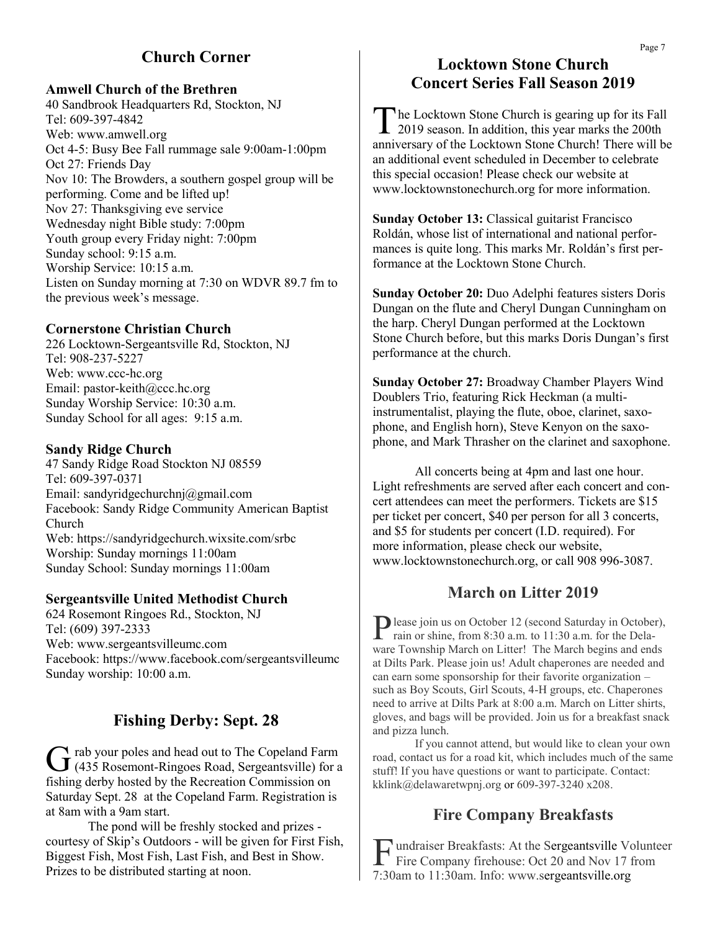## **Church Corner**

#### **Amwell Church of the Brethren**

40 Sandbrook Headquarters Rd, Stockton, NJ Tel: 609-397-4842 Web: www.amwell.org Oct 4-5: Busy Bee Fall rummage sale 9:00am-1:00pm Oct 27: Friends Day Nov 10: The Browders, a southern gospel group will be performing. Come and be lifted up! Nov 27: Thanksgiving eve service Wednesday night Bible study: 7:00pm Youth group every Friday night: 7:00pm Sunday school: 9:15 a.m. Worship Service: 10:15 a.m. Listen on Sunday morning at 7:30 on WDVR 89.7 fm to the previous week's message.

#### **Cornerstone Christian Church**

226 Locktown-Sergeantsville Rd, Stockton, NJ Tel: 908-237-5227 Web: www.ccc-hc.org Email: pastor-keith@ccc.hc.org Sunday Worship Service: 10:30 a.m. Sunday School for all ages: 9:15 a.m.

#### **Sandy Ridge Church**

47 Sandy Ridge Road Stockton NJ 08559 Tel: 609-397-0371 Email: sandyridgechurchnj@gmail.com Facebook: Sandy Ridge Community American Baptist Church Web: https://sandyridgechurch.wixsite.com/srbc Worship: Sunday mornings 11:00am Sunday School: Sunday mornings 11:00am

#### **Sergeantsville United Methodist Church**

624 Rosemont Ringoes Rd., Stockton, NJ Tel: (609) 397-2333 Web: www.sergeantsvilleumc.com Facebook: https://www.facebook.com/sergeantsvilleumc Sunday worship: 10:00 a.m.

#### **Fishing Derby: Sept. 28**

G rab your poles and head out to The Copeland Farm<br>(435 Rosemont-Ringoes Road, Sergeantsville) for a rab your poles and head out to The Copeland Farm fishing derby hosted by the Recreation Commission on Saturday Sept. 28 at the Copeland Farm. Registration is at 8am with a 9am start.

The pond will be freshly stocked and prizes courtesy of Skip's Outdoors - will be given for First Fish, Biggest Fish, Most Fish, Last Fish, and Best in Show. Prizes to be distributed starting at noon.

#### **Locktown Stone Church Concert Series Fall Season 2019**

The Locktown Stone Church is gearing up for its Fall<br>2019 season. In addition, this year marks the 200th he Locktown Stone Church is gearing up for its Fall anniversary of the Locktown Stone Church! There will be an additional event scheduled in December to celebrate this special occasion! Please check our website at www.locktownstonechurch.org for more information.

**Sunday October 13: Classical guitarist Francisco** Roldán, whose list of international and national performances is quite long. This marks Mr. Roldán's first performance at the Locktown Stone Church.

**Sunday October 20:** Duo Adelphi features sisters Doris Dungan on the flute and Cheryl Dungan Cunningham on the harp. Cheryl Dungan performed at the Locktown Stone Church before, but this marks Doris Dungan's first performance at the church.

**Sunday October 27:** Broadway Chamber Players Wind Doublers Trio, featuring Rick Heckman (a multiinstrumentalist, playing the flute, oboe, clarinet, saxophone, and English horn), Steve Kenyon on the saxophone, and Mark Thrasher on the clarinet and saxophone.

All concerts being at 4pm and last one hour. Light refreshments are served after each concert and concert attendees can meet the performers. Tickets are \$15 per ticket per concert, \$40 per person for all 3 concerts, and \$5 for students per concert (I.D. required). For more information, please check our website, www.locktownstonechurch.org, or call 908 996-3087.

#### **March on Litter 2019**

P lease join us on October 12 (second Saturday in October 12 (second Saturday in October 12 (second Saturday in October lease join us on October 12 (second Saturday in October), ware Township March on Litter! The March begins and ends at Dilts Park. Please join us! Adult chaperones are needed and can earn some sponsorship for their favorite organization – such as Boy Scouts, Girl Scouts, 4-H groups, etc. Chaperones need to arrive at Dilts Park at 8:00 a.m. March on Litter shirts, gloves, and bags will be provided. Join us for a breakfast snack and pizza lunch.

If you cannot attend, but would like to clean your own road, contact us for a road kit, which includes much of the same stuff! If you have questions or want to participate. Contact: kklink@delawaretwpnj.org or 609-397-3240 x208.

#### **Fire Company Breakfasts**

F undraiser Breakfasts: At the Sergeantsville Volunteer Fire Company firehouse: Oct 20 and Nov 17 from 7:30am to 11:30am. Info: www.sergeantsville.org